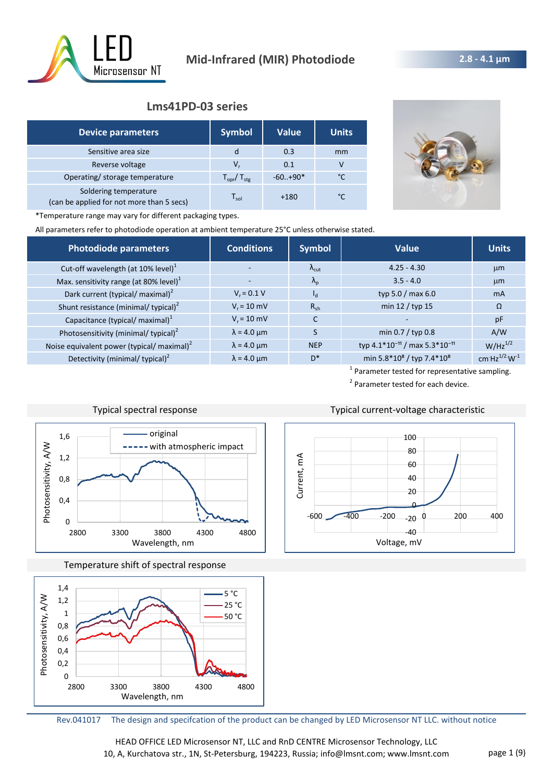

# **Lms41PD-03 series**

| <b>Device parameters</b>                                           | <b>Symbol</b>                   | <b>Value</b> | <b>Units</b> |
|--------------------------------------------------------------------|---------------------------------|--------------|--------------|
| Sensitive area size                                                | d                               | 0.3          | mm           |
| Reverse voltage                                                    | v,                              | 0.1          | v            |
| Operating/ storage temperature                                     | $T_{\text{opr}}/T_{\text{stg}}$ | $-60+90*$    | °C           |
| Soldering temperature<br>(can be applied for not more than 5 secs) | $\mathsf{T}_{\mathsf{sol}}$     | $+180$       | °C           |



\*Temperature range may vary for different packaging types.

All parameters refer to photodiode operation at ambient temperature 25°C unless otherwise stated.

| Photodiode parameters                                  | <b>Conditions</b>  | <b>Symbol</b>          | Value                                                 | <b>Units</b>        |
|--------------------------------------------------------|--------------------|------------------------|-------------------------------------------------------|---------------------|
| Cut-off wavelength (at 10% level) <sup>1</sup>         |                    | $\Lambda_{\text{cut}}$ | $4.25 - 4.30$                                         | $\mu$ m             |
| Max. sensitivity range (at 80% level) $1$              |                    | $\Lambda_{\rm p}$      | $3.5 - 4.0$                                           | $\mu$ m             |
| Dark current (typical/ maximal) <sup>2</sup>           | $V_r = 0.1 V$      | $I_{d}$                | typ 5.0 / max 6.0                                     | m <sub>A</sub>      |
| Shunt resistance (minimal/ typical) <sup>2</sup>       | $V_r = 10$ mV      | $R_{sh}$               | min 12 / typ 15                                       | $\Omega$            |
| Capacitance (typical/ maximal) <sup>1</sup>            | $V_r = 10$ mV      | C                      |                                                       | pF                  |
| Photosensitivity (minimal/ typical) <sup>2</sup>       | $\lambda$ = 4.0 µm |                        | min $0.7 /$ typ 0.8                                   | A/W                 |
| Noise equivalent power (typical/ maximal) <sup>2</sup> | $\lambda$ = 4.0 µm | <b>NEP</b>             | typ 4.1*10 <sup>-11</sup> / max 5.3*10 <sup>-11</sup> | $W/Hz^{1/2}$        |
| Detectivity (minimal/ typical) <sup>2</sup>            | $\lambda$ = 4.0 µm | $D^*$                  | min 5.8*10 <sup>8</sup> / typ 7.4*10 <sup>8</sup>     | cm $Hz^{1/2}W^{-1}$ |

<sup>1</sup> Parameter tested for representative sampling. <sup>2</sup> Parameter tested for each device.



Typical spectral response Typical current-voltage characteristic

Temperature shift of spectral response



40 60 80

100

-40 -20  $\boldsymbol{\theta}$ 20  $-600$   $-400$   $-200$   $-200$   $-200$  200 400 Current, mA Voltage, mV

Rev.041017 The design and specifcation of the product can be changed by LED Microsensor NT LLC. without notice

HEAD OFFICE LED Microsensor NT, LLC and RnD CENTRE Microsensor Technology, LLC 10, A, Kurchatova str., 1N, St-Petersburg, 194223, Russia; info@lmsnt.com; www.lmsnt.com page 1 (9)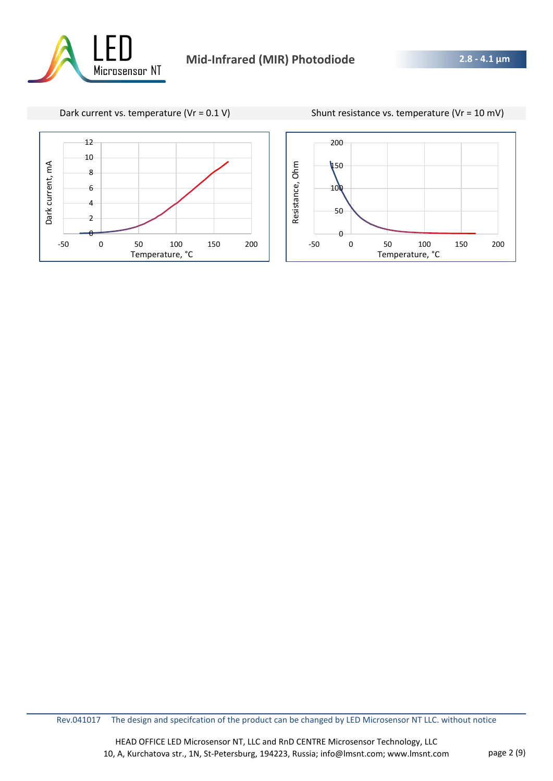







Rev.041017 The design and specifcation of the product can be changed by LED Microsensor NT LLC. without notice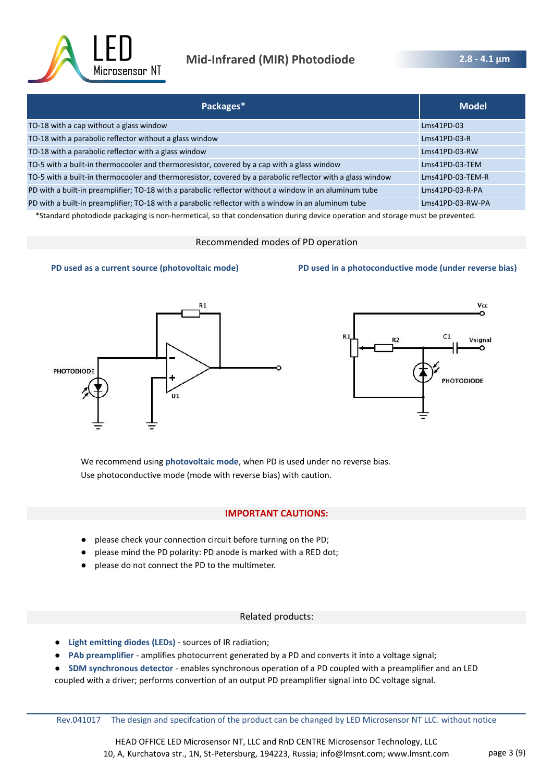

| Packages*                                                                                                  | <b>Model</b>      |
|------------------------------------------------------------------------------------------------------------|-------------------|
| TO-18 with a cap without a glass window                                                                    | $Lms41PD-03$      |
| TO-18 with a parabolic reflector without a glass window                                                    | $Lms41PD-03-R$    |
| TO-18 with a parabolic reflector with a glass window                                                       | Lms41PD-03-RW     |
| TO-5 with a built-in thermocooler and thermoresistor, covered by a cap with a glass window                 | Lms41PD-03-TEM    |
| TO-5 with a built-in thermocooler and thermoresistor, covered by a parabolic reflector with a glass window | Lms41PD-03-TEM-R  |
| PD with a built-in preamplifier; TO-18 with a parabolic reflector without a window in an aluminum tube     | $Lms41PD-03-R-PA$ |
| PD with a built-in preamplifier; TO-18 with a parabolic reflector with a window in an aluminum tube        | Lms41PD-03-RW-PA  |

\*Standard photodiode packaging is non-hermetical, so that condensation during device operation and storage must be prevented.

#### Recommended modes of PD operation



#### **PD used as a current source (photovoltaic mode) PD used in a photoconductive mode (under reverse bias)**



We recommend using **photovoltaic mode**, when PD is used under no reverse bias. Use photoconductive mode (mode with reverse bias) with caution.

#### **IMPORTANT CAUTIONS:**

- please check your connection circuit before turning on the PD;
- please mind the PD polarity: PD anode is marked with a RED dot;
- please do not connect the PD to the multimeter.

#### Related products:

- **Light emitting diodes (LEDs)**  sources of IR radiation;
- PAb preamplifier amplifies photocurrent generated by a PD and converts it into a voltage signal;
- **SDM synchronous detector** enables synchronous operation of a PD coupled with a preamplifier and an LED
- coupled with a driver; performs convertion of an output PD preamplifier signal into DC voltage signal.

Rev.041017 The design and specifcation of the product can be changed by LED Microsensor NT LLC. without notice

HEAD OFFICE LED Microsensor NT, LLC and RnD CENTRE Microsensor Technology, LLC 10, A, Kurchatova str., 1N, St-Petersburg, 194223, Russia; info@lmsnt.com; www.lmsnt.com page 3 (9)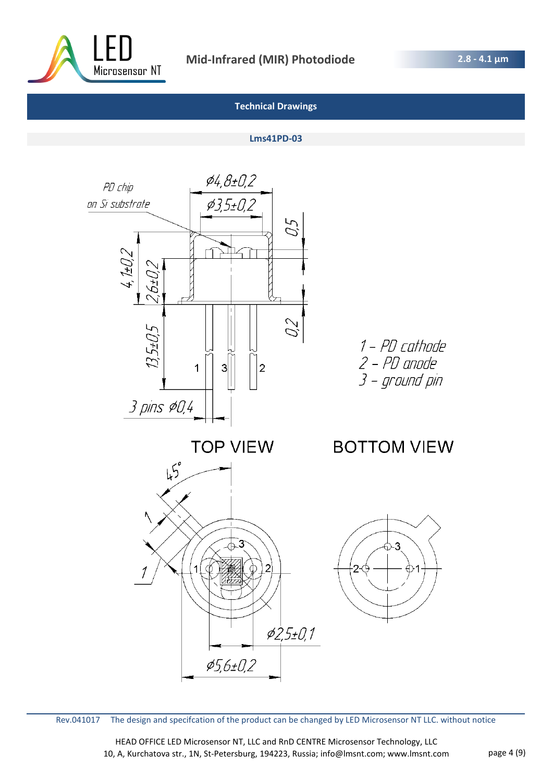

#### **Lms41PD-03**



Rev.041017 The design and specifcation of the product can be changed by LED Microsensor NT LLC. without notice

HEAD OFFICE LED Microsensor NT, LLC and RnD CENTRE Microsensor Technology, LLC 10, A, Kurchatova str., 1N, St-Petersburg, 194223, Russia; info@lmsnt.com; www.lmsnt.com page 4 (9)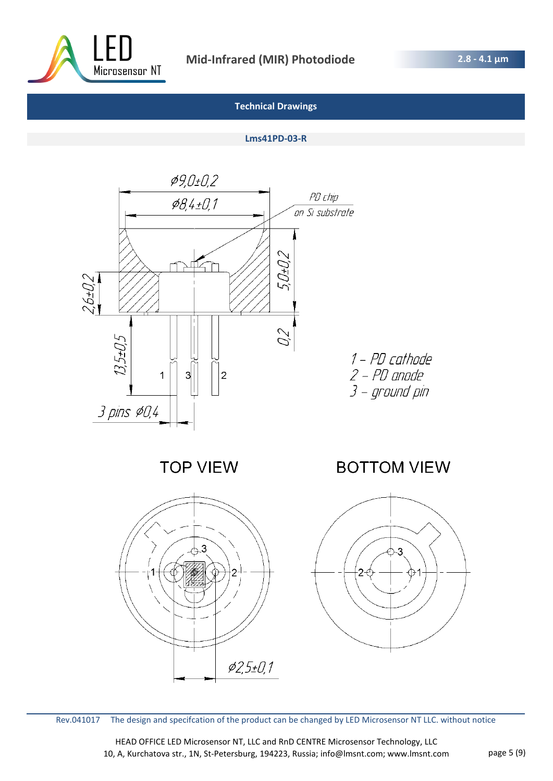

#### **Lms41PD-03-R**



**TOP VIEW** 

1 - PD cathode 2 – PD anode<br>3 – ground pin

**BOTTOM VIEW** 





HEAD OFFICE LED Microsensor NT, LLC and RnD CENTRE Microsensor Technology, LLC 10, A, Kurchatova str., 1N, St-Petersburg, 194223, Russia; info@lmsnt.com; www.lmsnt.com page 5 (9)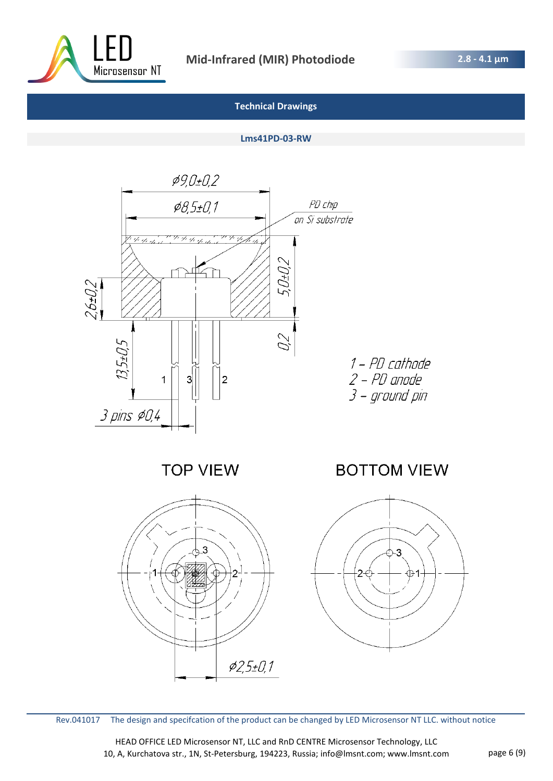

#### **Lms41PD-03-RW**



**TOP VIEW** 





HEAD OFFICE LED Microsensor NT, LLC and RnD CENTRE Microsensor Technology, LLC 10, A, Kurchatova str., 1N, St-Petersburg, 194223, Russia; info@lmsnt.com; www.lmsnt.com page 6 (9)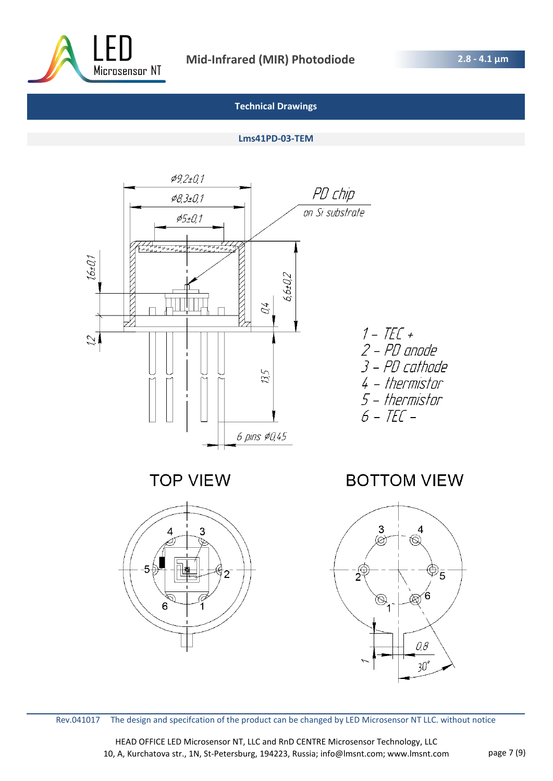

## **Lms41PD-03-TEM**



 $\overline{2}$ 

6



Rev.041017 The design and specifcation of the product can be changed by LED Microsensor NT LLC. without notice

HEAD OFFICE LED Microsensor NT, LLC and RnD CENTRE Microsensor Technology, LLC 10, A, Kurchatova str., 1N, St-Petersburg, 194223, Russia; info@lmsnt.com; www.lmsnt.com page 7 (9)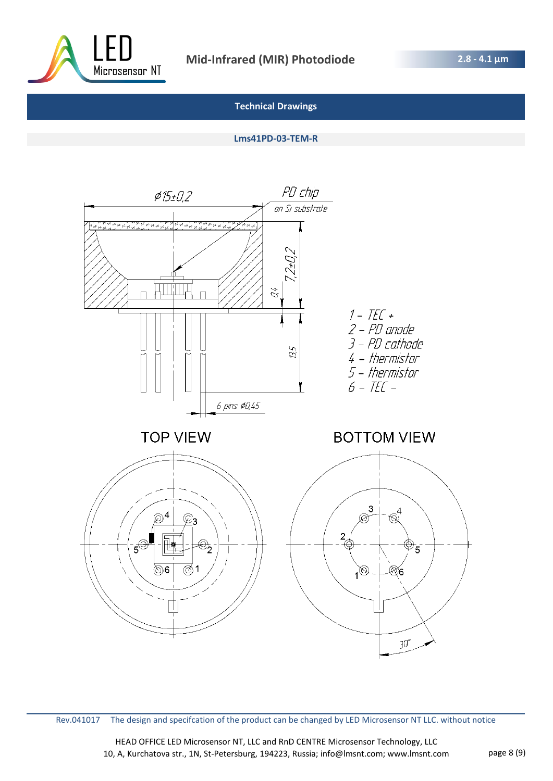

#### **Lms41PD-03-TEM-R**



Rev.041017 The design and specifcation of the product can be changed by LED Microsensor NT LLC. without notice

HEAD OFFICE LED Microsensor NT, LLC and RnD CENTRE Microsensor Technology, LLC 10, A, Kurchatova str., 1N, St-Petersburg, 194223, Russia; info@lmsnt.com; www.lmsnt.com page 8 (9)